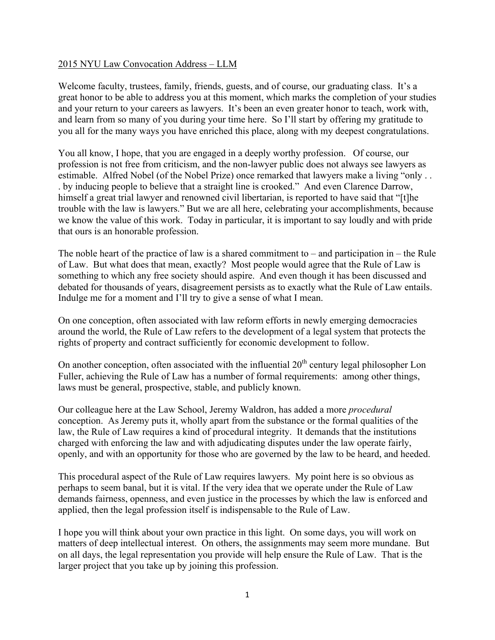## 2015 NYU Law Convocation Address – LLM

Welcome faculty, trustees, family, friends, guests, and of course, our graduating class. It's a great honor to be able to address you at this moment, which marks the completion of your studies and your return to your careers as lawyers. It's been an even greater honor to teach, work with, and learn from so many of you during your time here. So I'll start by offering my gratitude to you all for the many ways you have enriched this place, along with my deepest congratulations.

You all know, I hope, that you are engaged in a deeply worthy profession. Of course, our profession is not free from criticism, and the non-lawyer public does not always see lawyers as estimable. Alfred Nobel (of the Nobel Prize) once remarked that lawyers make a living "only . . . by inducing people to believe that a straight line is crooked." And even Clarence Darrow, himself a great trial lawyer and renowned civil libertarian, is reported to have said that "[t]he trouble with the law is lawyers." But we are all here, celebrating your accomplishments, because we know the value of this work. Today in particular, it is important to say loudly and with pride that ours is an honorable profession.

The noble heart of the practice of law is a shared commitment to – and participation in – the Rule of Law. But what does that mean, exactly? Most people would agree that the Rule of Law is something to which any free society should aspire. And even though it has been discussed and debated for thousands of years, disagreement persists as to exactly what the Rule of Law entails. Indulge me for a moment and I'll try to give a sense of what I mean.

On one conception, often associated with law reform efforts in newly emerging democracies around the world, the Rule of Law refers to the development of a legal system that protects the rights of property and contract sufficiently for economic development to follow.

On another conception, often associated with the influential  $20<sup>th</sup>$  century legal philosopher Lon Fuller, achieving the Rule of Law has a number of formal requirements: among other things, laws must be general, prospective, stable, and publicly known.

Our colleague here at the Law School, Jeremy Waldron, has added a more *procedural* conception. As Jeremy puts it, wholly apart from the substance or the formal qualities of the law, the Rule of Law requires a kind of procedural integrity. It demands that the institutions charged with enforcing the law and with adjudicating disputes under the law operate fairly, openly, and with an opportunity for those who are governed by the law to be heard, and heeded.

This procedural aspect of the Rule of Law requires lawyers. My point here is so obvious as perhaps to seem banal, but it is vital. If the very idea that we operate under the Rule of Law demands fairness, openness, and even justice in the processes by which the law is enforced and applied, then the legal profession itself is indispensable to the Rule of Law.

I hope you will think about your own practice in this light. On some days, you will work on matters of deep intellectual interest. On others, the assignments may seem more mundane. But on all days, the legal representation you provide will help ensure the Rule of Law. That is the larger project that you take up by joining this profession.